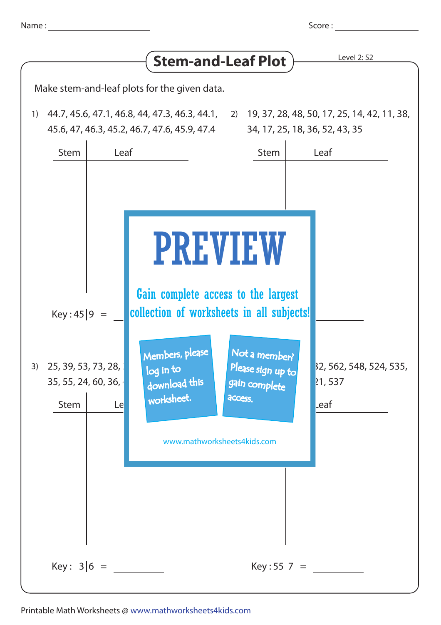| Name:                                                        |                                          |                                                                                                                 | Score:                                                                                                                                                                                                                                                                                     |
|--------------------------------------------------------------|------------------------------------------|-----------------------------------------------------------------------------------------------------------------|--------------------------------------------------------------------------------------------------------------------------------------------------------------------------------------------------------------------------------------------------------------------------------------------|
|                                                              |                                          |                                                                                                                 | Level 2: S2                                                                                                                                                                                                                                                                                |
|                                                              |                                          |                                                                                                                 |                                                                                                                                                                                                                                                                                            |
|                                                              |                                          |                                                                                                                 | 34, 17, 25, 18, 36, 52, 43, 35                                                                                                                                                                                                                                                             |
| Leaf                                                         |                                          | <b>Stem</b>                                                                                                     | Leaf                                                                                                                                                                                                                                                                                       |
| Key:45 9<br>25, 39, 53, 73, 28,<br>35, 55, 24, 60, 36,<br>Le | log in to<br>download this<br>worksheet. | Not a member?<br>Please sign up to                                                                              | 32, 562, 548, 524, 535,<br>21,537<br>_eaf                                                                                                                                                                                                                                                  |
| $Key: 3 6 =$                                                 |                                          | $Key:55 7 =$                                                                                                    |                                                                                                                                                                                                                                                                                            |
|                                                              |                                          | Make stem-and-leaf plots for the given data.<br>45.6, 47, 46.3, 45.2, 46.7, 47.6, 45.9, 47.4<br>Members, please | <b>Stem-and-Leaf Plot</b><br>44.7, 45.6, 47.1, 46.8, 44, 47.3, 46.3, 44.1, 2) 19, 37, 28, 48, 50, 17, 25, 14, 42, 11, 38,<br><b>PREVIEW</b><br>Gain complete access to the largest<br>collection of worksheets in all subjects!<br>gain complete<br>access.<br>www.mathworksheets4kids.com |